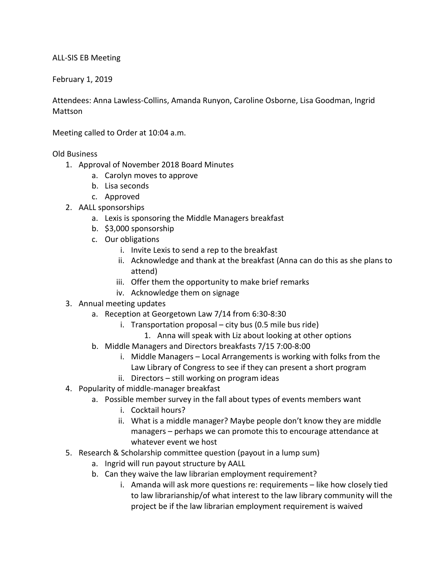## ALL-SIS EB Meeting

February 1, 2019

Attendees: Anna Lawless-Collins, Amanda Runyon, Caroline Osborne, Lisa Goodman, Ingrid Mattson

Meeting called to Order at 10:04 a.m.

Old Business

- 1. Approval of November 2018 Board Minutes
	- a. Carolyn moves to approve
	- b. Lisa seconds
	- c. Approved
- 2. AALL sponsorships
	- a. Lexis is sponsoring the Middle Managers breakfast
	- b. \$3,000 sponsorship
	- c. Our obligations
		- i. Invite Lexis to send a rep to the breakfast
		- ii. Acknowledge and thank at the breakfast (Anna can do this as she plans to attend)
		- iii. Offer them the opportunity to make brief remarks
		- iv. Acknowledge them on signage
- 3. Annual meeting updates
	- a. Reception at Georgetown Law 7/14 from 6:30-8:30
		- i. Transportation proposal city bus (0.5 mile bus ride)
			- 1. Anna will speak with Liz about looking at other options
	- b. Middle Managers and Directors breakfasts 7/15 7:00-8:00
		- i. Middle Managers Local Arrangements is working with folks from the Law Library of Congress to see if they can present a short program
		- ii. Directors still working on program ideas
- 4. Popularity of middle-manager breakfast
	- a. Possible member survey in the fall about types of events members want
		- i. Cocktail hours?
		- ii. What is a middle manager? Maybe people don't know they are middle managers – perhaps we can promote this to encourage attendance at whatever event we host
- 5. Research & Scholarship committee question (payout in a lump sum)
	- a. Ingrid will run payout structure by AALL
	- b. Can they waive the law librarian employment requirement?
		- i. Amanda will ask more questions re: requirements like how closely tied to law librarianship/of what interest to the law library community will the project be if the law librarian employment requirement is waived